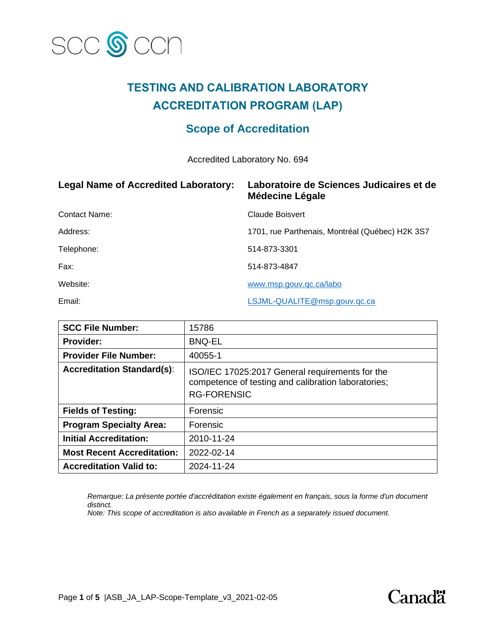

## **TESTING AND CALIBRATION LABORATORY ACCREDITATION PROGRAM (LAP)**

### **Scope of Accreditation**

Accredited Laboratory No. 694

| <b>Legal Name of Accredited Laboratory:</b> | Laboratoire de Sciences Judicaires et de<br><b>Médecine Légale</b> |
|---------------------------------------------|--------------------------------------------------------------------|
| <b>Contact Name:</b>                        | Claude Boisvert                                                    |
| Address:                                    | 1701, rue Parthenais, Montréal (Québec) H2K 3S7                    |
| Telephone:                                  | 514-873-3301                                                       |
| Fax:                                        | 514-873-4847                                                       |
| Website:                                    | www.msp.gouv.gc.ca/labo                                            |
| Email:                                      | LSJML-QUALITE@msp.gouv.qc.ca                                       |

| <b>SCC File Number:</b>           | 15786                                                                                                                        |
|-----------------------------------|------------------------------------------------------------------------------------------------------------------------------|
| Provider:                         | <b>BNQ-EL</b>                                                                                                                |
| <b>Provider File Number:</b>      | 40055-1                                                                                                                      |
| <b>Accreditation Standard(s):</b> | ISO/IEC 17025:2017 General requirements for the<br>competence of testing and calibration laboratories;<br><b>RG-FORENSIC</b> |
| <b>Fields of Testing:</b>         | Forensic                                                                                                                     |
| <b>Program Specialty Area:</b>    | Forensic                                                                                                                     |
| <b>Initial Accreditation:</b>     | 2010-11-24                                                                                                                   |
| <b>Most Recent Accreditation:</b> | 2022-02-14                                                                                                                   |
| <b>Accreditation Valid to:</b>    | 2024-11-24                                                                                                                   |

*Remarque: La présente portée d'accréditation existe également en français, sous la forme d'un document distinct.*

*Note: This scope of accreditation is also available in French as a separately issued document.*

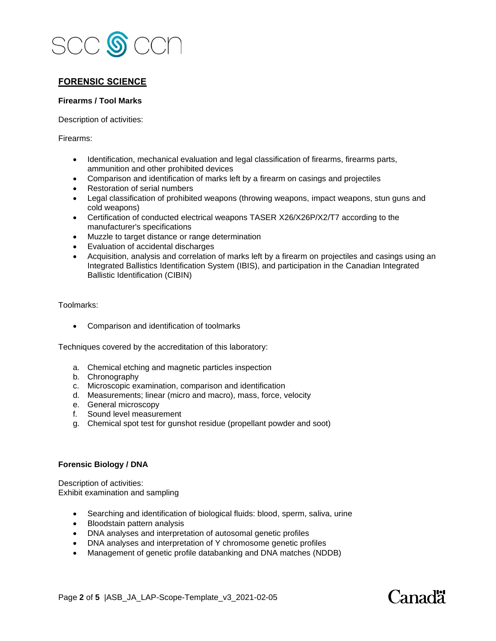

#### **FORENSIC SCIENCE**

#### **Firearms / Tool Marks**

Description of activities:

Firearms:

- Identification, mechanical evaluation and legal classification of firearms, firearms parts, ammunition and other prohibited devices
- Comparison and identification of marks left by a firearm on casings and projectiles
- Restoration of serial numbers
- Legal classification of prohibited weapons (throwing weapons, impact weapons, stun guns and cold weapons)
- Certification of conducted electrical weapons TASER X26/X26P/X2/T7 according to the manufacturer's specifications
- Muzzle to target distance or range determination
- Evaluation of accidental discharges
- Acquisition, analysis and correlation of marks left by a firearm on projectiles and casings using an Integrated Ballistics Identification System (IBIS), and participation in the Canadian Integrated Ballistic Identification (CIBIN)

Toolmarks:

• Comparison and identification of toolmarks

Techniques covered by the accreditation of this laboratory:

- a. Chemical etching and magnetic particles inspection
- b. Chronography
- c. Microscopic examination, comparison and identification
- d. Measurements; linear (micro and macro), mass, force, velocity
- e. General microscopy
- f. Sound level measurement
- g. Chemical spot test for gunshot residue (propellant powder and soot)

#### **Forensic Biology / DNA**

Description of activities: Exhibit examination and sampling

- Searching and identification of biological fluids: blood, sperm, saliva, urine
- Bloodstain pattern analysis
- DNA analyses and interpretation of autosomal genetic profiles
- DNA analyses and interpretation of Y chromosome genetic profiles
- Management of genetic profile databanking and DNA matches (NDDB)

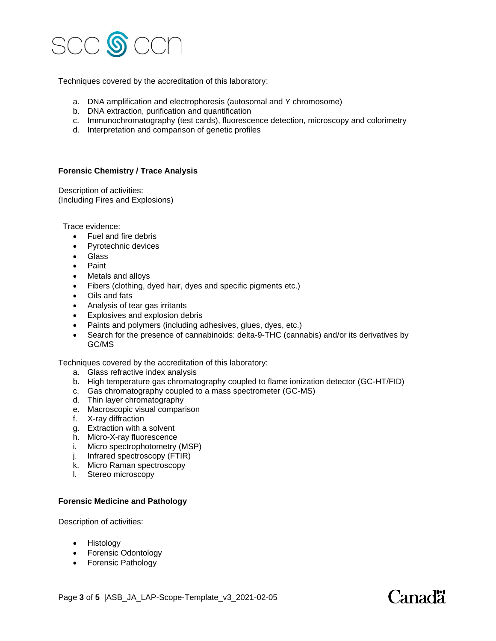

Techniques covered by the accreditation of this laboratory:

- a. DNA amplification and electrophoresis (autosomal and Y chromosome)
- b. DNA extraction, purification and quantification
- c. Immunochromatography (test cards), fluorescence detection, microscopy and colorimetry
- d. Interpretation and comparison of genetic profiles

#### **Forensic Chemistry / Trace Analysis**

Description of activities: (Including Fires and Explosions)

Trace evidence:

- Fuel and fire debris
- Pyrotechnic devices
- Glass
- Paint
- Metals and alloys
- Fibers (clothing, dyed hair, dyes and specific pigments etc.)
- Oils and fats
- Analysis of tear gas irritants
- Explosives and explosion debris
- Paints and polymers (including adhesives, glues, dyes, etc.)
- Search for the presence of cannabinoids: delta-9-THC (cannabis) and/or its derivatives by GC/MS

Techniques covered by the accreditation of this laboratory:

- a. Glass refractive index analysis
- b. High temperature gas chromatography coupled to flame ionization detector (GC-HT/FID)
- c. Gas chromatography coupled to a mass spectrometer (GC-MS)
- d. Thin layer chromatography
- e. Macroscopic visual comparison
- f. X-ray diffraction
- g. Extraction with a solvent
- h. Micro-X-ray fluorescence
- i. Micro spectrophotometry (MSP)
- j. Infrared spectroscopy (FTIR)
- k. Micro Raman spectroscopy
- l. Stereo microscopy

#### **Forensic Medicine and Pathology**

Description of activities:

- Histology
- Forensic Odontology
- Forensic Pathology

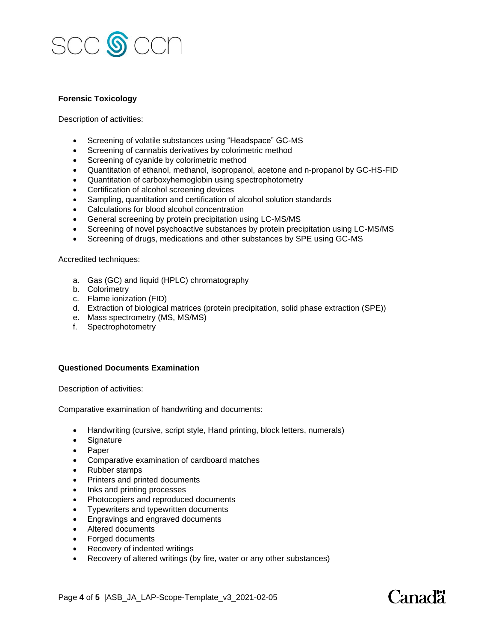

#### **Forensic Toxicology**

Description of activities:

- Screening of volatile substances using "Headspace" GC-MS
- Screening of cannabis derivatives by colorimetric method
- Screening of cyanide by colorimetric method
- Quantitation of ethanol, methanol, isopropanol, acetone and n-propanol by GC-HS-FID
- Quantitation of carboxyhemoglobin using spectrophotometry
- Certification of alcohol screening devices
- Sampling, quantitation and certification of alcohol solution standards
- Calculations for blood alcohol concentration
- General screening by protein precipitation using LC-MS/MS
- Screening of novel psychoactive substances by protein precipitation using LC-MS/MS
- Screening of drugs, medications and other substances by SPE using GC-MS

#### Accredited techniques:

- a. Gas (GC) and liquid (HPLC) chromatography
- b. Colorimetry
- c. Flame ionization (FID)
- d. Extraction of biological matrices (protein precipitation, solid phase extraction (SPE))
- e. Mass spectrometry (MS, MS/MS)
- f. Spectrophotometry

#### **Questioned Documents Examination**

Description of activities:

Comparative examination of handwriting and documents:

- Handwriting (cursive, script style, Hand printing, block letters, numerals)
- Signature
- Paper
- Comparative examination of cardboard matches
- Rubber stamps
- Printers and printed documents
- Inks and printing processes
- Photocopiers and reproduced documents
- Typewriters and typewritten documents
- Engravings and engraved documents
- Altered documents
- Forged documents
- Recovery of indented writings
- Recovery of altered writings (by fire, water or any other substances)

# Canadä